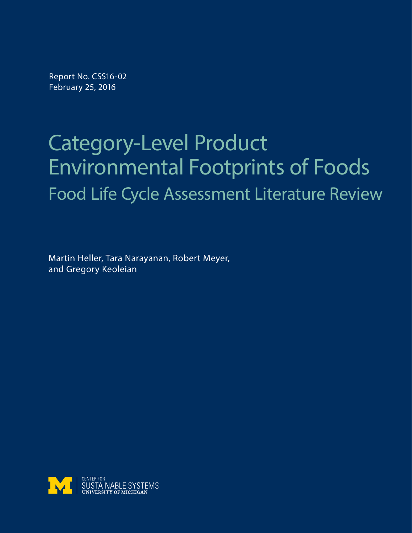Report No. CSS16-02 February 25, 2016

# Category-Level Product Environmental Footprints of Foods Food Life Cycle Assessment Literature Review

Martin Heller, Tara Narayanan, Robert Meyer, and Gregory Keoleian

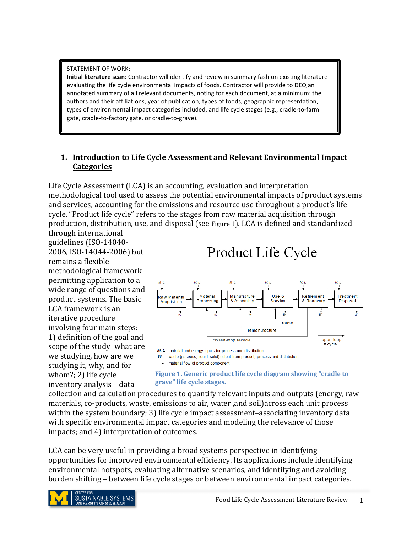#### STATEMENT OF WORK:

**Initial literature scan**: Contractor will identify and review in summary fashion existing literature evaluating the life cycle environmental impacts of foods. Contractor will provide to DEQ an annotated summary of all relevant documents, noting for each document, at a minimum: the authors and their affiliations, year of publication, types of foods, geographic representation, types of environmental impact categories included, and life cycle stages (e.g., cradle-to-farm gate, cradle-to-factory gate, or cradle-to-grave).

#### **1. Introduction to Life Cycle Assessment and Relevant Environmental Impact Categories**

Life Cycle Assessment (LCA) is an accounting, evaluation and interpretation methodological tool used to assess the potential environmental impacts of product systems and services, accounting for the emissions and resource use throughout a product's life cycle. "Product life cycle" refers to the stages from raw material acquisition through production, distribution, use, and disposal (see Figure 1). LCA is defined and standardized through international

guidelines (ISO-14040-2006, ISO-14044-2006) but remains a flexible methodological framework permitting application to a wide range of questions and product systems. The basic LCA framework is an iterative procedure involving four main steps: 1) definition of the goal and scope of the study–what are we studying, how are we studying it, why, and for whom?; 2) life cycle inventory analysis - data

# Product Life Cycle



 $M, E$  material and energy inputs for process and distribution

W waste (gaseous, liquid, solid) output from product, process and distribution

#### - material flow of product component

#### **Figure 1. Generic product life cycle diagram showing "cradle to grave" life cycle stages.**

collection and calculation procedures to quantify relevant inputs and outputs (energy, raw materials, co-products, waste, emissions to air, water, and soil) across each unit process within the system boundary; 3) life cycle impact assessment–associating inventory data with specific environmental impact categories and modeling the relevance of those impacts; and 4) interpretation of outcomes.

LCA can be very useful in providing a broad systems perspective in identifying opportunities for improved environmental efficiency. Its applications include identifying environmental hotspots, evaluating alternative scenarios, and identifying and avoiding burden shifting – between life cycle stages or between environmental impact categories.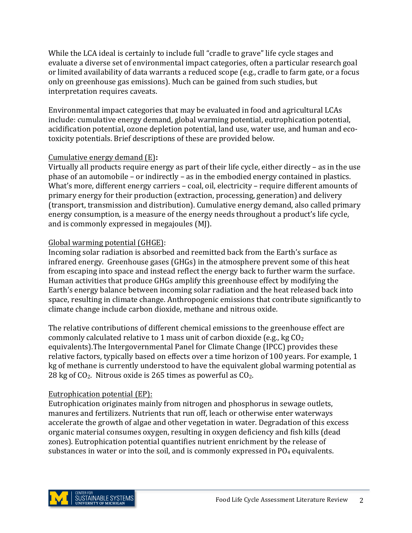While the LCA ideal is certainly to include full "cradle to grave" life cycle stages and evaluate a diverse set of environmental impact categories, often a particular research goal or limited availability of data warrants a reduced scope (e.g., cradle to farm gate, or a focus only on greenhouse gas emissions). Much can be gained from such studies, but interpretation requires caveats.

Environmental impact categories that may be evaluated in food and agricultural LCAs include: cumulative energy demand, global warming potential, eutrophication potential, acidification potential, ozone depletion potential, land use, water use, and human and ecotoxicity potentials. Brief descriptions of these are provided below.

#### Cumulative energy demand (E):

Virtually all products require energy as part of their life cycle, either directly  $-$  as in the use phase of an automobile  $-$  or indirectly  $-$  as in the embodied energy contained in plastics. What's more, different energy carriers  $-$  coal, oil, electricity  $-$  require different amounts of primary energy for their production (extraction, processing, generation) and delivery (transport, transmission and distribution). Cumulative energy demand, also called primary energy consumption, is a measure of the energy needs throughout a product's life cycle, and is commonly expressed in megajoules  $(M)$ .

#### Global warming potential (GHGE):

Incoming solar radiation is absorbed and reemitted back from the Earth's surface as infrared energy. Greenhouse gases (GHGs) in the atmosphere prevent some of this heat from escaping into space and instead reflect the energy back to further warm the surface. Human activities that produce GHGs amplify this greenhouse effect by modifying the Earth's energy balance between incoming solar radiation and the heat released back into space, resulting in climate change. Anthropogenic emissions that contribute significantly to climate change include carbon dioxide, methane and nitrous oxide.

The relative contributions of different chemical emissions to the greenhouse effect are commonly calculated relative to 1 mass unit of carbon dioxide (e.g., kg  $CO<sub>2</sub>$ ) equivalents). The Intergovernmental Panel for Climate Change (IPCC) provides these relative factors, typically based on effects over a time horizon of 100 years. For example, 1 kg of methane is currently understood to have the equivalent global warming potential as 28 kg of  $CO<sub>2</sub>$ . Nitrous oxide is 265 times as powerful as  $CO<sub>2</sub>$ .

# Eutrophication potential (EP):

Eutrophication originates mainly from nitrogen and phosphorus in sewage outlets, manures and fertilizers. Nutrients that run off, leach or otherwise enter waterways accelerate the growth of algae and other vegetation in water. Degradation of this excess organic material consumes oxygen, resulting in oxygen deficiency and fish kills (dead zones). Eutrophication potential quantifies nutrient enrichment by the release of substances in water or into the soil, and is commonly expressed in  $PO_4$  equivalents.

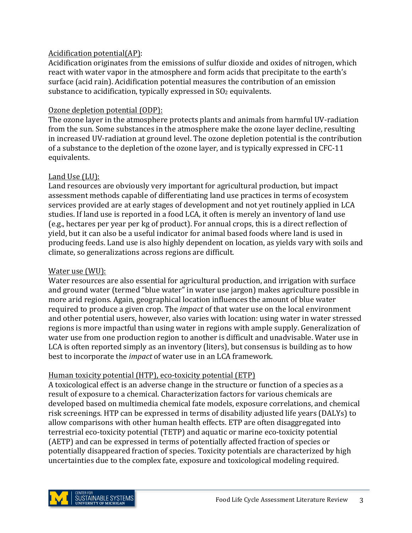#### Acidification potential(AP):

Acidification originates from the emissions of sulfur dioxide and oxides of nitrogen, which react with water vapor in the atmosphere and form acids that precipitate to the earth's surface (acid rain). Acidification potential measures the contribution of an emission substance to acidification, typically expressed in  $SO<sub>2</sub>$  equivalents.

#### Ozone depletion potential (ODP):

The ozone layer in the atmosphere protects plants and animals from harmful UV-radiation from the sun. Some substances in the atmosphere make the ozone layer decline, resulting in increased UV-radiation at ground level. The ozone depletion potential is the contribution of a substance to the depletion of the ozone layer, and is typically expressed in CFC-11 equivalents.

#### Land Use  $(LU)$ :

Land resources are obviously very important for agricultural production, but impact assessment methods capable of differentiating land use practices in terms of ecosystem services provided are at early stages of development and not yet routinely applied in LCA studies. If land use is reported in a food LCA, it often is merely an inventory of land use (e.g., hectares per year per kg of product). For annual crops, this is a direct reflection of yield, but it can also be a useful indicator for animal based foods where land is used in producing feeds. Land use is also highly dependent on location, as yields vary with soils and climate, so generalizations across regions are difficult.

### Water use (WU):

Water resources are also essential for agricultural production, and irrigation with surface and ground water (termed "blue water" in water use jargon) makes agriculture possible in more arid regions. Again, geographical location influences the amount of blue water required to produce a given crop. The *impact* of that water use on the local environment and other potential users, however, also varies with location: using water in water stressed regions is more impactful than using water in regions with ample supply. Generalization of water use from one production region to another is difficult and unadvisable. Water use in LCA is often reported simply as an inventory (liters), but consensus is building as to how best to incorporate the *impact* of water use in an LCA framework.

# Human toxicity potential (HTP), eco-toxicity potential (ETP)

A toxicological effect is an adverse change in the structure or function of a species as a result of exposure to a chemical. Characterization factors for various chemicals are developed based on multimedia chemical fate models, exposure correlations, and chemical risk screenings. HTP can be expressed in terms of disability adjusted life years (DALYs) to allow comparisons with other human health effects. ETP are often disaggregated into terrestrial eco-toxicity potential (TETP) and aquatic or marine eco-toxicity potential (AETP) and can be expressed in terms of potentially affected fraction of species or potentially disappeared fraction of species. Toxicity potentials are characterized by high uncertainties due to the complex fate, exposure and toxicological modeling required.

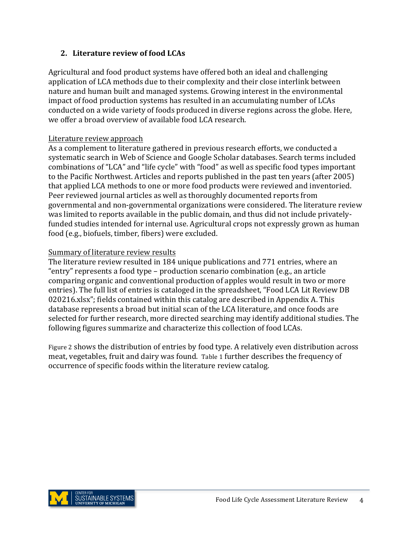#### **2.** Literature review of food LCAs

Agricultural and food product systems have offered both an ideal and challenging application of LCA methods due to their complexity and their close interlink between nature and human built and managed systems. Growing interest in the environmental impact of food production systems has resulted in an accumulating number of LCAs conducted on a wide variety of foods produced in diverse regions across the globe. Here, we offer a broad overview of available food LCA research.

#### Literature review approach

As a complement to literature gathered in previous research efforts, we conducted a systematic search in Web of Science and Google Scholar databases. Search terms included combinations of "LCA" and "life cycle" with "food" as well as specific food types important to the Pacific Northwest. Articles and reports published in the past ten years (after 2005) that applied LCA methods to one or more food products were reviewed and inventoried. Peer reviewed journal articles as well as thoroughly documented reports from governmental and non-governmental organizations were considered. The literature review was limited to reports available in the public domain, and thus did not include privatelyfunded studies intended for internal use. Agricultural crops not expressly grown as human food (e.g., biofuels, timber, fibers) were excluded.

#### Summary of literature review results

The literature review resulted in 184 unique publications and 771 entries, where an "entry" represents a food type – production scenario combination (e.g., an article comparing organic and conventional production of apples would result in two or more entries). The full list of entries is cataloged in the spreadsheet, "Food LCA Lit Review DB 020216.xlsx"; fields contained within this catalog are described in Appendix A. This database represents a broad but initial scan of the LCA literature, and once foods are selected for further research, more directed searching may identify additional studies. The following figures summarize and characterize this collection of food LCAs.

Figure 2 shows the distribution of entries by food type. A relatively even distribution across meat, vegetables, fruit and dairy was found. Table 1 further describes the frequency of occurrence of specific foods within the literature review catalog.

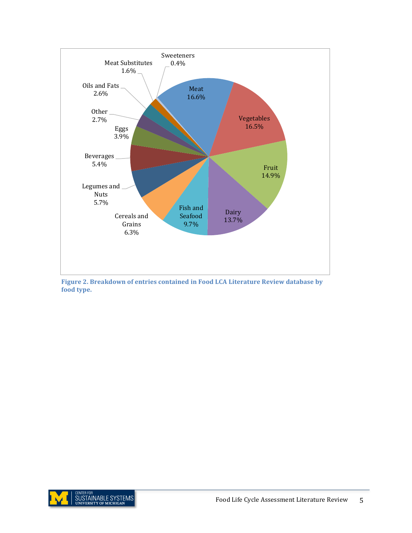

Figure 2. Breakdown of entries contained in Food LCA Literature Review database by **food type.**

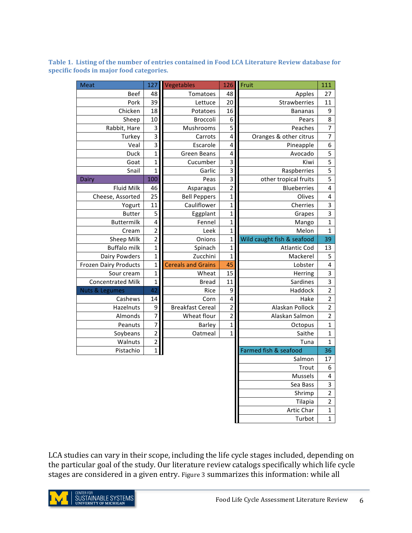| Meat                         | 127                     | Vegetables                | 126                     | Fruit                      | 111                     |
|------------------------------|-------------------------|---------------------------|-------------------------|----------------------------|-------------------------|
| <b>Beef</b>                  | 48                      | Tomatoes                  | 48                      | Apples                     | 27                      |
| Pork                         | 39                      | Lettuce                   | 20                      | Strawberries               | 11                      |
| Chicken                      | 18                      | Potatoes                  | 16                      | <b>Bananas</b>             | 9                       |
| Sheep                        | 10                      | Broccoli                  | $\overline{6}$          | Pears                      | 8                       |
| Rabbit, Hare                 | $\overline{\mathbf{3}}$ | Mushrooms                 | 5                       | Peaches                    | $\overline{7}$          |
| Turkey                       | $\overline{3}$          | Carrots                   | $\overline{4}$          | Oranges & other citrus     | $\overline{7}$          |
| Veal                         | $\overline{3}$          | Escarole                  | 4                       | Pineapple                  | $\boldsymbol{6}$        |
| <b>Duck</b>                  | $\overline{1}$          | <b>Green Beans</b>        | $\overline{4}$          | Avocado                    | $\overline{\mathbf{5}}$ |
| Goat                         | $\overline{1}$          | Cucumber                  | $\overline{3}$          | Kiwi                       | $\overline{5}$          |
| Snail                        | $\overline{1}$          | Garlic                    | $\overline{3}$          | Raspberries                | $\overline{5}$          |
| Dairy                        | 100                     | Peas                      | $\overline{3}$          | other tropical fruits      | $\overline{5}$          |
| <b>Fluid Milk</b>            | 46                      | Asparagus                 | $\overline{2}$          | <b>Blueberries</b>         | $\overline{\mathbf{4}}$ |
| Cheese, Assorted             | 25                      | <b>Bell Peppers</b>       | $\mathbf{1}$            | Olives                     | $\overline{\mathbf{4}}$ |
| Yogurt                       | 11                      | Cauliflower               | $\mathbf{1}$            | Cherries                   | $\mathsf 3$             |
| <b>Butter</b>                | 5                       | Eggplant                  | $\mathbf{1}$            | Grapes                     | $\overline{\mathbf{3}}$ |
| <b>Buttermilk</b>            | $\overline{\mathbf{4}}$ | Fennel                    | $\mathbf{1}$            | Mango                      | $\mathbf{1}$            |
| Cream                        | $\overline{c}$          | Leek                      | $\overline{1}$          | Melon                      | $\mathbf{1}$            |
| Sheep Milk                   | $\overline{2}$          | Onions                    | $\mathbf{1}$            | Wild caught fish & seafood | 39                      |
| <b>Buffalo milk</b>          | $\mathbf{1}$            | Spinach                   | $\mathbf{1}$            | Atlantic Cod               | 13                      |
| Dairy Powders                | $\mathbf{1}$            | Zucchini                  | $\mathbf 1$             | Mackerel                   | 5                       |
| <b>Frozen Dairy Products</b> | $\overline{1}$          | <b>Cereals and Grains</b> | 45                      | Lobster                    | $\overline{\mathbf{r}}$ |
| Sour cream                   | $\mathbf{1}$            | Wheat                     | 15                      | Herring                    | $\overline{\mathbf{3}}$ |
| <b>Concentrated Milk</b>     | $\overline{1}$          | <b>Bread</b>              | 11                      | Sardines                   | $\overline{\mathbf{3}}$ |
| <b>Nuts &amp; Legumes</b>    | 42                      | Rice                      | $\overline{9}$          | Haddock                    | $\overline{2}$          |
| Cashews                      | 14                      | Corn                      | $\overline{4}$          | Hake                       | $\overline{c}$          |
| Hazelnuts                    | 9                       | <b>Breakfast Cereal</b>   | $\overline{2}$          | Alaskan Pollock            | $\overline{\mathbf{c}}$ |
| Almonds                      | $\overline{7}$          | Wheat flour               | $\overline{2}$          | Alaskan Salmon             | $\overline{2}$          |
| Peanuts                      | $\overline{7}$          | Barley                    | $\overline{\mathbf{1}}$ | Octopus                    | $\mathbf 1$             |
| Soybeans                     | $\overline{2}$          | Oatmeal                   | $\overline{1}$          | Saithe                     | $\mathbf 1$             |
| Walnuts                      | $\overline{2}$          |                           |                         | Tuna                       | $\mathbf 1$             |
| Pistachio                    | $\overline{1}$          |                           |                         | Farmed fish & seafood      | 36                      |
|                              |                         |                           |                         | Salmon                     | 17                      |
|                              |                         |                           |                         | Trout                      | 6                       |
|                              |                         |                           |                         | Mussels                    | $\pmb{4}$               |
|                              |                         |                           |                         | Sea Bass                   | $\mathsf 3$             |
|                              |                         |                           |                         | Shrimp                     | $\overline{2}$          |
|                              |                         |                           |                         | Tilapia                    | $\mathbf 2$             |
|                              |                         |                           |                         | Artic Char                 | $\mathbf 1$             |
|                              |                         |                           |                         | Turbot                     | $\mathbf 1$             |

Table 1. Listing of the number of entries contained in Food LCA Literature Review database for specific foods in major food categories.

LCA studies can vary in their scope, including the life cycle stages included, depending on the particular goal of the study. Our literature review catalogs specifically which life cycle stages are considered in a given entry. Figure 3 summarizes this information: while all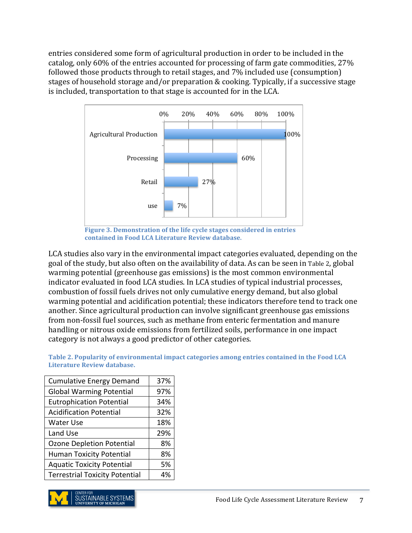entries considered some form of agricultural production in order to be included in the catalog, only  $60\%$  of the entries accounted for processing of farm gate commodities,  $27\%$ followed those products through to retail stages, and  $7\%$  included use (consumption) stages of household storage and/or preparation & cooking. Typically, if a successive stage is included, transportation to that stage is accounted for in the LCA.



Figure 3. Demonstration of the life cycle stages considered in entries contained in Food LCA Literature Review database.

LCA studies also vary in the environmental impact categories evaluated, depending on the goal of the study, but also often on the availability of data. As can be seen in Table 2, global warming potential (greenhouse gas emissions) is the most common environmental indicator evaluated in food LCA studies. In LCA studies of typical industrial processes, combustion of fossil fuels drives not only cumulative energy demand, but also global warming potential and acidification potential; these indicators therefore tend to track one another. Since agricultural production can involve significant greenhouse gas emissions from non-fossil fuel sources, such as methane from enteric fermentation and manure handling or nitrous oxide emissions from fertilized soils, performance in one impact category is not always a good predictor of other categories.

Table 2. Popularity of environmental impact categories among entries contained in the Food LCA **Literature Review database.**

| 37% |
|-----|
| 97% |
| 34% |
| 32% |
| 18% |
| 29% |
| 8%  |
| 8%  |
| 5%  |
| 4%  |
|     |

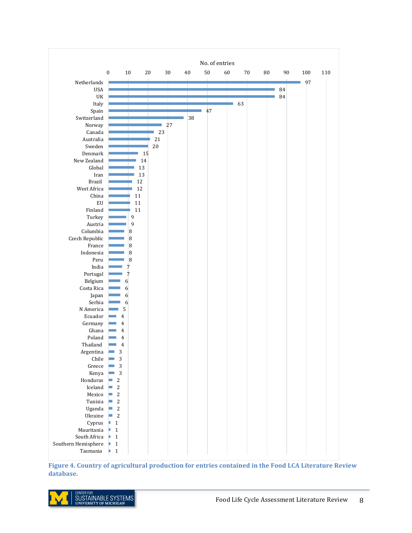

Figure 4. Country of agricultural production for entries contained in the Food LCA Literature Review **database.**

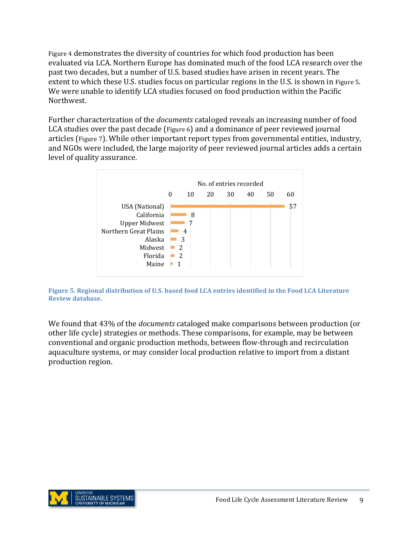Figure 4 demonstrates the diversity of countries for which food production has been evaluated via LCA. Northern Europe has dominated much of the food LCA research over the past two decades, but a number of U.S. based studies have arisen in recent years. The extent to which these U.S. studies focus on particular regions in the U.S. is shown in Figure 5. We were unable to identify LCA studies focused on food production within the Pacific Northwest.

Further characterization of the *documents* cataloged reveals an increasing number of food LCA studies over the past decade (Figure 6) and a dominance of peer reviewed journal articles (Figure 7). While other important report types from governmental entities, industry, and NGOs were included, the large majority of peer reviewed journal articles adds a certain level of quality assurance.



**Figure 5. Regional distribution of U.S. based food LCA entries identified in the Food LCA Literature Review database.**

We found that 43% of the *documents* cataloged make comparisons between production (or other life cycle) strategies or methods. These comparisons, for example, may be between conventional and organic production methods, between flow-through and recirculation aquaculture systems, or may consider local production relative to import from a distant production region.

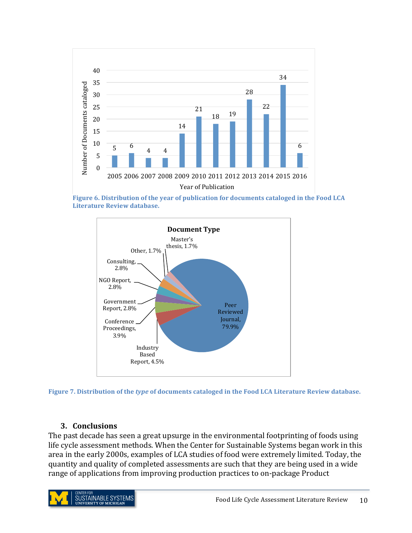

**Figure 6. Distribution of the year of publication for documents cataloged in the Food LCA Literature Review database.**





#### **3. Conclusions**

The past decade has seen a great upsurge in the environmental footprinting of foods using life cycle assessment methods. When the Center for Sustainable Systems began work in this area in the early 2000s, examples of LCA studies of food were extremely limited. Today, the quantity and quality of completed assessments are such that they are being used in a wide range of applications from improving production practices to on-package Product

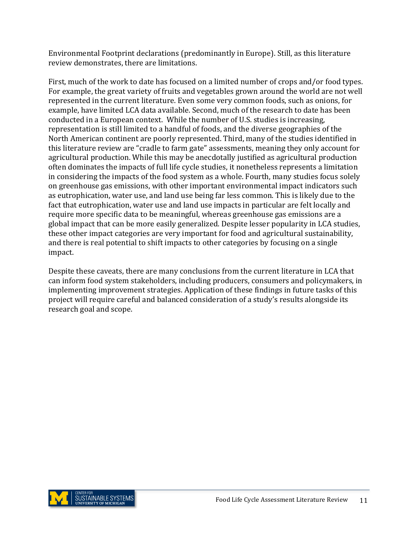Environmental Footprint declarations (predominantly in Europe). Still, as this literature review demonstrates, there are limitations.

First, much of the work to date has focused on a limited number of crops and/or food types. For example, the great variety of fruits and vegetables grown around the world are not well represented in the current literature. Even some very common foods, such as onions, for example, have limited LCA data available. Second, much of the research to date has been conducted in a European context. While the number of U.S. studies is increasing, representation is still limited to a handful of foods, and the diverse geographies of the North American continent are poorly represented. Third, many of the studies identified in this literature review are "cradle to farm gate" assessments, meaning they only account for agricultural production. While this may be anecdotally justified as agricultural production often dominates the impacts of full life cycle studies, it nonetheless represents a limitation in considering the impacts of the food system as a whole. Fourth, many studies focus solely on greenhouse gas emissions, with other important environmental impact indicators such as eutrophication, water use, and land use being far less common. This is likely due to the fact that eutrophication, water use and land use impacts in particular are felt locally and require more specific data to be meaningful, whereas greenhouse gas emissions are a global impact that can be more easily generalized. Despite lesser popularity in LCA studies, these other impact categories are very important for food and agricultural sustainability, and there is real potential to shift impacts to other categories by focusing on a single impact.

Despite these caveats, there are many conclusions from the current literature in LCA that can inform food system stakeholders, including producers, consumers and policymakers, in implementing improvement strategies. Application of these findings in future tasks of this project will require careful and balanced consideration of a study's results alongside its research goal and scope.

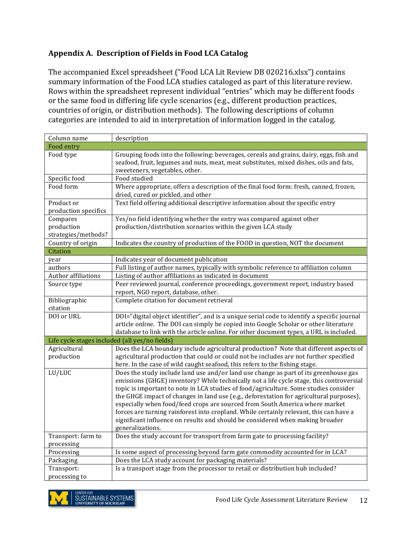### **Appendix A. Description of Fields in Food LCA Catalog**

The accompanied Excel spreadsheet ("Food LCA Lit Review DB 020216.xlsx") contains summary information of the Food LCA studies cataloged as part of this literature review. Rows within the spreadsheet represent individual "entries" which may be different foods or the same food in differing life cycle scenarios (e.g., different production practices, countries of origin, or distribution methods). The following descriptions of column categories are intended to aid in interpretation of information logged in the catalog.

| Column name                                    | description                                                                                                                                                                                                                                                                                                                                                                                                                                                                                                                                                                                                                                       |
|------------------------------------------------|---------------------------------------------------------------------------------------------------------------------------------------------------------------------------------------------------------------------------------------------------------------------------------------------------------------------------------------------------------------------------------------------------------------------------------------------------------------------------------------------------------------------------------------------------------------------------------------------------------------------------------------------------|
| Food entry                                     |                                                                                                                                                                                                                                                                                                                                                                                                                                                                                                                                                                                                                                                   |
| Food type                                      | Grouping foods into the following: beverages, cereals and grains, dairy, eggs, fish and<br>seafood, fruit, legumes and nuts, meat, meat substitutes, mixed dishes, oils and fats,<br>sweeteners, vegetables, other.                                                                                                                                                                                                                                                                                                                                                                                                                               |
| Specific food                                  | Food studied                                                                                                                                                                                                                                                                                                                                                                                                                                                                                                                                                                                                                                      |
| Food form                                      | Where appropriate, offers a description of the final food form: fresh, canned, frozen,<br>dried, cured or pickled, and other                                                                                                                                                                                                                                                                                                                                                                                                                                                                                                                      |
| Product or                                     | Text field offering additional descriptive information about the specific entry                                                                                                                                                                                                                                                                                                                                                                                                                                                                                                                                                                   |
| production specifics                           |                                                                                                                                                                                                                                                                                                                                                                                                                                                                                                                                                                                                                                                   |
| Compares                                       | Yes/no field identifying whether the entry was compared against other                                                                                                                                                                                                                                                                                                                                                                                                                                                                                                                                                                             |
| production                                     | production/distribution scenarios within the given LCA study                                                                                                                                                                                                                                                                                                                                                                                                                                                                                                                                                                                      |
| strategies/methods?                            |                                                                                                                                                                                                                                                                                                                                                                                                                                                                                                                                                                                                                                                   |
| Country of origin                              | Indicates the country of production of the FOOD in question, NOT the document                                                                                                                                                                                                                                                                                                                                                                                                                                                                                                                                                                     |
| Citation                                       |                                                                                                                                                                                                                                                                                                                                                                                                                                                                                                                                                                                                                                                   |
| year                                           | Indicates year of document publication                                                                                                                                                                                                                                                                                                                                                                                                                                                                                                                                                                                                            |
| authors                                        | Full listing of author names, typically with symbolic reference to affiliation column                                                                                                                                                                                                                                                                                                                                                                                                                                                                                                                                                             |
| Author affiliations                            | Listing of author affiliations as indicated in document                                                                                                                                                                                                                                                                                                                                                                                                                                                                                                                                                                                           |
| Source type                                    | Peer reviewed journal, conference proceedings, government report, industry based<br>report, NGO report, database, other.                                                                                                                                                                                                                                                                                                                                                                                                                                                                                                                          |
| Bibliographic                                  | Complete citation for document retrieval                                                                                                                                                                                                                                                                                                                                                                                                                                                                                                                                                                                                          |
| citation                                       |                                                                                                                                                                                                                                                                                                                                                                                                                                                                                                                                                                                                                                                   |
| DOI or URL                                     | DOI="digital object identifier", and is a unique serial code to identify a specific journal<br>article online. The DOI can simply be copied into Google Scholar or other literature<br>database to link with the article online. For other document types, a URL is included.                                                                                                                                                                                                                                                                                                                                                                     |
| Life cycle stages included (all yes/no fields) |                                                                                                                                                                                                                                                                                                                                                                                                                                                                                                                                                                                                                                                   |
| Agricultural<br>production                     | Does the LCA boundary include agricultural production? Note that different aspects of<br>agricultural production that could or could not be includes are not further specified<br>here. In the case of wild caught seafood, this refers to the fishing stage.                                                                                                                                                                                                                                                                                                                                                                                     |
| LU/LUC                                         | Does the study include land use and/or land use change as part of its greenhouse gas<br>emissions (GHGE) inventory? While technically not a life cycle stage, this controversial<br>topic is important to note in LCA studies of food/agriculture. Some studies consider<br>the GHGE impact of changes in land use (e.g., deforestation for agricultural purposes),<br>especially when food/feed crops are sourced from South America where market<br>forces are turning rainforest into cropland. While certainly relevant, this can have a<br>significant influence on results and should be considered when making broader<br>generalizations. |
| Transport: farm to<br>processing               | Does the study account for transport from farm gate to processing facility?                                                                                                                                                                                                                                                                                                                                                                                                                                                                                                                                                                       |
| Processing                                     | Is some aspect of processing beyond farm gate commodity accounted for in LCA?                                                                                                                                                                                                                                                                                                                                                                                                                                                                                                                                                                     |
| Packaging                                      | Does the LCA study account for packaging materials?                                                                                                                                                                                                                                                                                                                                                                                                                                                                                                                                                                                               |
| Transport:                                     | Is a transport stage from the processor to retail or distribution hub included?                                                                                                                                                                                                                                                                                                                                                                                                                                                                                                                                                                   |
| processing to                                  |                                                                                                                                                                                                                                                                                                                                                                                                                                                                                                                                                                                                                                                   |

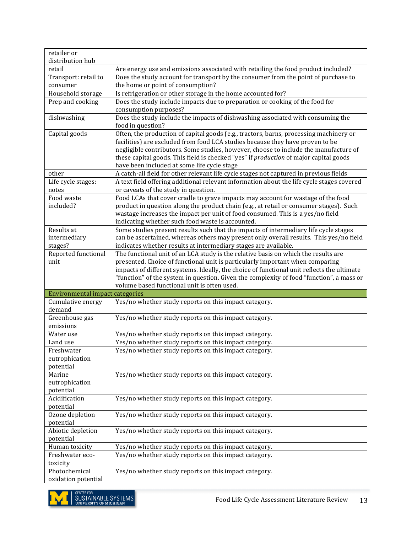| retailer or                          |                                                                                                                                         |
|--------------------------------------|-----------------------------------------------------------------------------------------------------------------------------------------|
| distribution hub                     |                                                                                                                                         |
| retail                               | Are energy use and emissions associated with retailing the food product included?                                                       |
| Transport: retail to                 | Does the study account for transport by the consumer from the point of purchase to                                                      |
| consumer                             | the home or point of consumption?                                                                                                       |
| Household storage                    | Is refrigeration or other storage in the home accounted for?                                                                            |
| Prep and cooking                     | Does the study include impacts due to preparation or cooking of the food for                                                            |
|                                      | consumption purposes?                                                                                                                   |
| dishwashing                          | Does the study include the impacts of dishwashing associated with consuming the                                                         |
|                                      | food in question?                                                                                                                       |
| Capital goods                        | Often, the production of capital goods (e.g., tractors, barns, processing machinery or                                                  |
|                                      | facilities) are excluded from food LCA studies because they have proven to be                                                           |
|                                      | negligible contributors. Some studies, however, choose to include the manufacture of                                                    |
|                                      | these capital goods. This field is checked "yes" if production of major capital goods                                                   |
|                                      | have been included at some life cycle stage                                                                                             |
| other                                | A catch-all field for other relevant life cycle stages not captured in previous fields                                                  |
| Life cycle stages:                   | A text field offering additional relevant information about the life cycle stages covered                                               |
| notes                                | or caveats of the study in question.                                                                                                    |
| Food waste                           | Food LCAs that cover cradle to grave impacts may account for wastage of the food                                                        |
| included?                            | product in question along the product chain (e.g., at retail or consumer stages). Such                                                  |
|                                      | wastage increases the impact per unit of food consumed. This is a yes/no field<br>indicating whether such food waste is accounted.      |
| Results at                           | Some studies present results such that the impacts of intermediary life cycle stages                                                    |
| intermediary                         | can be ascertained, whereas others may present only overall results. This yes/no field                                                  |
| stages?                              | indicates whether results at intermediary stages are available.                                                                         |
| Reported functional                  | The functional unit of an LCA study is the relative basis on which the results are                                                      |
| unit                                 | presented. Choice of functional unit is particularly important when comparing                                                           |
|                                      |                                                                                                                                         |
|                                      |                                                                                                                                         |
|                                      | impacts of different systems. Ideally, the choice of functional unit reflects the ultimate                                              |
|                                      | "function" of the system in question. Given the complexity of food "function", a mass or<br>volume based functional unit is often used. |
| Environmental impact categories      |                                                                                                                                         |
| Cumulative energy                    | Yes/no whether study reports on this impact category.                                                                                   |
| demand                               |                                                                                                                                         |
| Greenhouse gas                       | Yes/no whether study reports on this impact category.                                                                                   |
| emissions                            |                                                                                                                                         |
| Water use                            | Yes/no whether study reports on this impact category.                                                                                   |
| Land use                             | Yes/no whether study reports on this impact category.                                                                                   |
| Freshwater                           | Yes/no whether study reports on this impact category.                                                                                   |
| eutrophication                       |                                                                                                                                         |
| potential                            |                                                                                                                                         |
| Marine                               | Yes/no whether study reports on this impact category.                                                                                   |
| eutrophication                       |                                                                                                                                         |
| potential                            |                                                                                                                                         |
| Acidification                        | Yes/no whether study reports on this impact category.                                                                                   |
| potential                            |                                                                                                                                         |
| Ozone depletion                      | Yes/no whether study reports on this impact category.                                                                                   |
| potential                            |                                                                                                                                         |
| Abiotic depletion                    | Yes/no whether study reports on this impact category.                                                                                   |
| potential                            |                                                                                                                                         |
| Human toxicity                       | Yes/no whether study reports on this impact category.                                                                                   |
| Freshwater eco-                      | Yes/no whether study reports on this impact category.                                                                                   |
| toxicity                             |                                                                                                                                         |
| Photochemical<br>oxidation potential | Yes/no whether study reports on this impact category.                                                                                   |

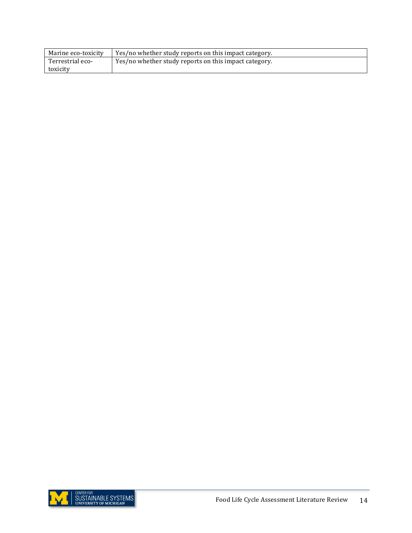| Marine eco-toxicity | Yes/no whether study reports on this impact category. |
|---------------------|-------------------------------------------------------|
| Terrestrial eco-    | Yes/no whether study reports on this impact category. |
| toxicity            |                                                       |